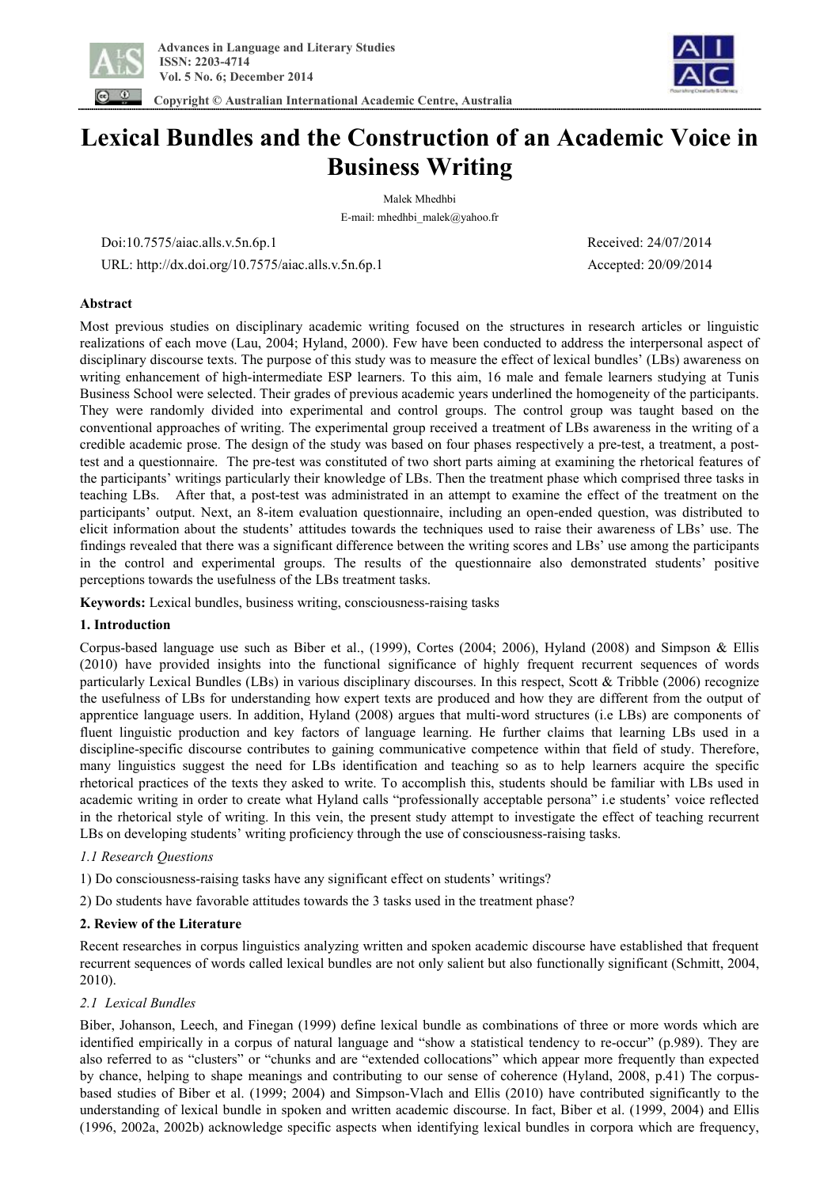

 **Copyright © Australian International Academic Centre, Australia** 



# **Lexical Bundles and the Construction of an Academic Voice in Business Writing**

Malek Mhedhbi E-mail: mhedhbi\_malek@yahoo.fr

Doi:10.7575/aiac.alls.v.5n.6p.1 Received: 24/07/2014

URL: http://dx.doi.org/10.7575/aiac.alls.v.5n.6p.1 Accepted: 20/09/2014

## **Abstract**

Most previous studies on disciplinary academic writing focused on the structures in research articles or linguistic realizations of each move (Lau, 2004; Hyland, 2000). Few have been conducted to address the interpersonal aspect of disciplinary discourse texts. The purpose of this study was to measure the effect of lexical bundles' (LBs) awareness on writing enhancement of high-intermediate ESP learners. To this aim, 16 male and female learners studying at Tunis Business School were selected. Their grades of previous academic years underlined the homogeneity of the participants. They were randomly divided into experimental and control groups. The control group was taught based on the conventional approaches of writing. The experimental group received a treatment of LBs awareness in the writing of a credible academic prose. The design of the study was based on four phases respectively a pre-test, a treatment, a posttest and a questionnaire. The pre-test was constituted of two short parts aiming at examining the rhetorical features of the participants' writings particularly their knowledge of LBs. Then the treatment phase which comprised three tasks in teaching LBs. After that, a post-test was administrated in an attempt to examine the effect of the treatment on the participants' output. Next, an 8-item evaluation questionnaire, including an open-ended question, was distributed to elicit information about the students' attitudes towards the techniques used to raise their awareness of LBs' use. The findings revealed that there was a significant difference between the writing scores and LBs' use among the participants in the control and experimental groups. The results of the questionnaire also demonstrated students' positive perceptions towards the usefulness of the LBs treatment tasks.

**Keywords:** Lexical bundles, business writing, consciousness-raising tasks

## **1. Introduction**

Corpus-based language use such as Biber et al., (1999), Cortes (2004; 2006), Hyland (2008) and Simpson & Ellis (2010) have provided insights into the functional significance of highly frequent recurrent sequences of words particularly Lexical Bundles (LBs) in various disciplinary discourses. In this respect, Scott & Tribble (2006) recognize the usefulness of LBs for understanding how expert texts are produced and how they are different from the output of apprentice language users. In addition, Hyland (2008) argues that multi-word structures (i.e LBs) are components of fluent linguistic production and key factors of language learning. He further claims that learning LBs used in a discipline-specific discourse contributes to gaining communicative competence within that field of study. Therefore, many linguistics suggest the need for LBs identification and teaching so as to help learners acquire the specific rhetorical practices of the texts they asked to write. To accomplish this, students should be familiar with LBs used in academic writing in order to create what Hyland calls "professionally acceptable persona" i.e students' voice reflected in the rhetorical style of writing. In this vein, the present study attempt to investigate the effect of teaching recurrent LBs on developing students' writing proficiency through the use of consciousness-raising tasks.

## *1.1 Research Questions*

1) Do consciousness-raising tasks have any significant effect on students' writings?

2) Do students have favorable attitudes towards the 3 tasks used in the treatment phase?

## **2. Review of the Literature**

Recent researches in corpus linguistics analyzing written and spoken academic discourse have established that frequent recurrent sequences of words called lexical bundles are not only salient but also functionally significant (Schmitt, 2004, 2010).

## *2.1 Lexical Bundles*

Biber, Johanson, Leech, and Finegan (1999) define lexical bundle as combinations of three or more words which are identified empirically in a corpus of natural language and "show a statistical tendency to re-occur" (p.989). They are also referred to as "clusters" or "chunks and are "extended collocations" which appear more frequently than expected by chance, helping to shape meanings and contributing to our sense of coherence (Hyland, 2008, p.41) The corpusbased studies of Biber et al. (1999; 2004) and Simpson-Vlach and Ellis (2010) have contributed significantly to the understanding of lexical bundle in spoken and written academic discourse. In fact, Biber et al. (1999, 2004) and Ellis (1996, 2002a, 2002b) acknowledge specific aspects when identifying lexical bundles in corpora which are frequency,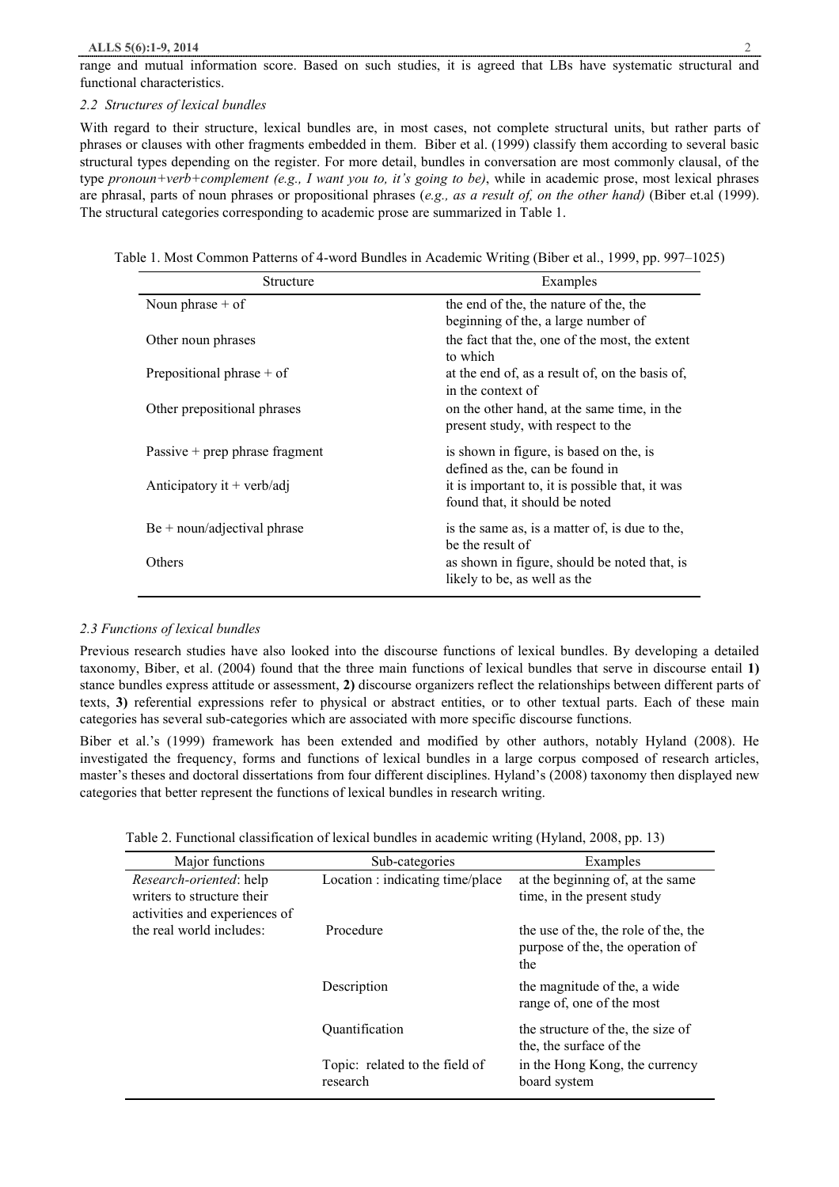#### **ALLS 5(6):1-9, 2014** 2

range and mutual information score. Based on such studies, it is agreed that LBs have systematic structural and functional characteristics.

#### *2.2 Structures of lexical bundles*

With regard to their structure, lexical bundles are, in most cases, not complete structural units, but rather parts of phrases or clauses with other fragments embedded in them. Biber et al. (1999) classify them according to several basic structural types depending on the register. For more detail, bundles in conversation are most commonly clausal, of the type *pronoun+verb+complement (e.g., I want you to, it's going to be)*, while in academic prose, most lexical phrases are phrasal, parts of noun phrases or propositional phrases (*e.g., as a result of, on the other hand)* (Biber et.al (1999). The structural categories corresponding to academic prose are summarized in Table 1.

Table 1. Most Common Patterns of 4-word Bundles in Academic Writing (Biber et al., 1999, pp. 997–1025)

| Structure                        | Examples                                                                          |
|----------------------------------|-----------------------------------------------------------------------------------|
| Noun phrase $+$ of               | the end of the, the nature of the, the<br>beginning of the, a large number of     |
| Other noun phrases               | the fact that the, one of the most, the extent<br>to which                        |
| Prepositional phrase $+$ of      | at the end of, as a result of, on the basis of,<br>in the context of              |
| Other prepositional phrases      | on the other hand, at the same time, in the<br>present study, with respect to the |
| Passive $+$ prep phrase fragment | is shown in figure, is based on the, is<br>defined as the, can be found in        |
| Anticipatory it + verb/adj       | it is important to, it is possible that, it was<br>found that, it should be noted |
| $Be + noun/adjectival phrase$    | is the same as, is a matter of, is due to the,<br>be the result of                |
| Others                           | as shown in figure, should be noted that, is<br>likely to be, as well as the      |

## *2.3 Functions of lexical bundles*

Previous research studies have also looked into the discourse functions of lexical bundles. By developing a detailed taxonomy, Biber, et al. (2004) found that the three main functions of lexical bundles that serve in discourse entail **1)** stance bundles express attitude or assessment, **2)** discourse organizers reflect the relationships between different parts of texts, **3)** referential expressions refer to physical or abstract entities, or to other textual parts. Each of these main categories has several sub-categories which are associated with more specific discourse functions.

Biber et al.'s (1999) framework has been extended and modified by other authors, notably Hyland (2008). He investigated the frequency, forms and functions of lexical bundles in a large corpus composed of research articles, master's theses and doctoral dissertations from four different disciplines. Hyland's (2008) taxonomy then displayed new categories that better represent the functions of lexical bundles in research writing.

| Table 2. Functional classification of lexical bundles in academic writing (Hyland, 2008, pp. 13) |  |  |  |  |  |  |
|--------------------------------------------------------------------------------------------------|--|--|--|--|--|--|
|--------------------------------------------------------------------------------------------------|--|--|--|--|--|--|

| Major functions                                                                               | Sub-categories                             | Examples                                                                        |
|-----------------------------------------------------------------------------------------------|--------------------------------------------|---------------------------------------------------------------------------------|
| <i>Research-oriented: help</i><br>writers to structure their<br>activities and experiences of | Location : indicating time/place           | at the beginning of, at the same<br>time, in the present study                  |
| the real world includes:                                                                      | Procedure                                  | the use of the, the role of the, the<br>purpose of the, the operation of<br>the |
|                                                                                               | Description                                | the magnitude of the, a wide<br>range of, one of the most                       |
|                                                                                               | Quantification                             | the structure of the, the size of<br>the, the surface of the                    |
|                                                                                               | Topic: related to the field of<br>research | in the Hong Kong, the currency<br>board system                                  |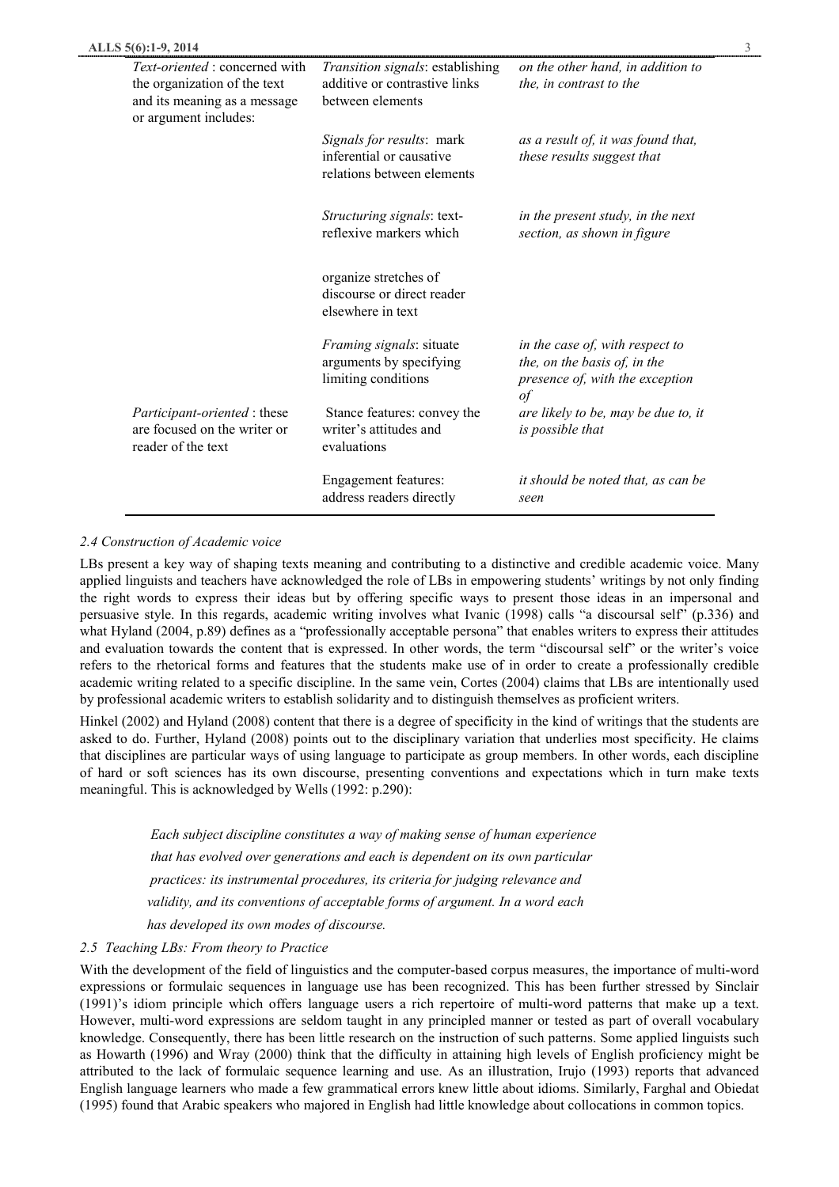| ALLS 5(6):1-9, 2014                                                                                                            |                                                                                       |                                                                                                              | 3 |
|--------------------------------------------------------------------------------------------------------------------------------|---------------------------------------------------------------------------------------|--------------------------------------------------------------------------------------------------------------|---|
| <i>Text-oriented</i> : concerned with<br>the organization of the text<br>and its meaning as a message<br>or argument includes: | Transition signals: establishing<br>additive or contrastive links<br>between elements | on the other hand, in addition to<br>the, in contrast to the                                                 |   |
|                                                                                                                                | Signals for results: mark<br>inferential or causative<br>relations between elements   | as a result of, it was found that,<br>these results suggest that                                             |   |
|                                                                                                                                | Structuring signals: text-<br>reflexive markers which                                 | in the present study, in the next<br>section, as shown in figure                                             |   |
|                                                                                                                                | organize stretches of<br>discourse or direct reader<br>elsewhere in text              |                                                                                                              |   |
|                                                                                                                                | <i>Framing signals: situate</i><br>arguments by specifying<br>limiting conditions     | in the case of, with respect to<br>the, on the basis of, in the<br>presence of, with the exception<br>$\int$ |   |
| Participant-oriented : these<br>are focused on the writer or<br>reader of the text                                             | Stance features: convey the<br>writer's attitudes and<br>evaluations                  | are likely to be, may be due to, it<br>is possible that                                                      |   |
|                                                                                                                                | <b>Engagement features:</b><br>address readers directly                               | it should be noted that, as can be<br>seen                                                                   |   |

# *2.4 Construction of Academic voice*

LBs present a key way of shaping texts meaning and contributing to a distinctive and credible academic voice. Many applied linguists and teachers have acknowledged the role of LBs in empowering students' writings by not only finding the right words to express their ideas but by offering specific ways to present those ideas in an impersonal and persuasive style. In this regards, academic writing involves what Ivanic (1998) calls "a discoursal self" (p.336) and what Hyland (2004, p.89) defines as a "professionally acceptable persona" that enables writers to express their attitudes and evaluation towards the content that is expressed. In other words, the term "discoursal self" or the writer's voice refers to the rhetorical forms and features that the students make use of in order to create a professionally credible academic writing related to a specific discipline. In the same vein, Cortes (2004) claims that LBs are intentionally used by professional academic writers to establish solidarity and to distinguish themselves as proficient writers.

Hinkel (2002) and Hyland (2008) content that there is a degree of specificity in the kind of writings that the students are asked to do. Further, Hyland (2008) points out to the disciplinary variation that underlies most specificity. He claims that disciplines are particular ways of using language to participate as group members. In other words, each discipline of hard or soft sciences has its own discourse, presenting conventions and expectations which in turn make texts meaningful. This is acknowledged by Wells (1992: p.290):

 *Each subject discipline constitutes a way of making sense of human experience that has evolved over generations and each is dependent on its own particular practices: its instrumental procedures, its criteria for judging relevance and validity, and its conventions of acceptable forms of argument. In a word each has developed its own modes of discourse.*

## *2.5 Teaching LBs: From theory to Practice*

With the development of the field of linguistics and the computer-based corpus measures, the importance of multi-word expressions or formulaic sequences in language use has been recognized. This has been further stressed by Sinclair (1991)'s idiom principle which offers language users a rich repertoire of multi-word patterns that make up a text. However, multi-word expressions are seldom taught in any principled manner or tested as part of overall vocabulary knowledge. Consequently, there has been little research on the instruction of such patterns. Some applied linguists such as Howarth (1996) and Wray (2000) think that the difficulty in attaining high levels of English proficiency might be attributed to the lack of formulaic sequence learning and use. As an illustration, Irujo (1993) reports that advanced English language learners who made a few grammatical errors knew little about idioms. Similarly, Farghal and Obiedat (1995) found that Arabic speakers who majored in English had little knowledge about collocations in common topics.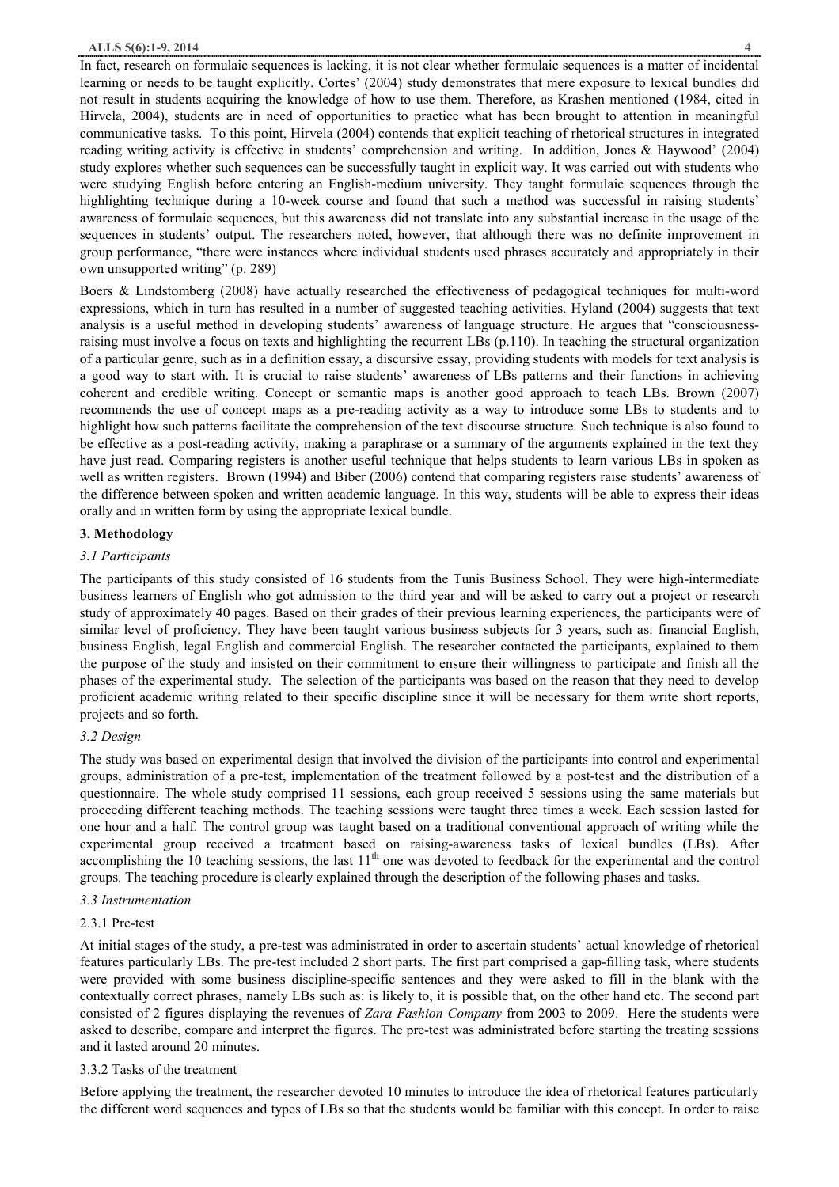In fact, research on formulaic sequences is lacking, it is not clear whether formulaic sequences is a matter of incidental learning or needs to be taught explicitly. Cortes' (2004) study demonstrates that mere exposure to lexical bundles did not result in students acquiring the knowledge of how to use them. Therefore, as Krashen mentioned (1984, cited in Hirvela, 2004), students are in need of opportunities to practice what has been brought to attention in meaningful communicative tasks. To this point, Hirvela (2004) contends that explicit teaching of rhetorical structures in integrated reading writing activity is effective in students' comprehension and writing. In addition, Jones & Haywood' (2004) study explores whether such sequences can be successfully taught in explicit way. It was carried out with students who were studying English before entering an English-medium university. They taught formulaic sequences through the highlighting technique during a 10-week course and found that such a method was successful in raising students' awareness of formulaic sequences, but this awareness did not translate into any substantial increase in the usage of the sequences in students' output. The researchers noted, however, that although there was no definite improvement in group performance, "there were instances where individual students used phrases accurately and appropriately in their own unsupported writing" (p. 289)

Boers & Lindstomberg (2008) have actually researched the effectiveness of pedagogical techniques for multi-word expressions, which in turn has resulted in a number of suggested teaching activities. Hyland (2004) suggests that text analysis is a useful method in developing students' awareness of language structure. He argues that "consciousnessraising must involve a focus on texts and highlighting the recurrent LBs (p.110). In teaching the structural organization of a particular genre, such as in a definition essay, a discursive essay, providing students with models for text analysis is a good way to start with. It is crucial to raise students' awareness of LBs patterns and their functions in achieving coherent and credible writing. Concept or semantic maps is another good approach to teach LBs. Brown (2007) recommends the use of concept maps as a pre-reading activity as a way to introduce some LBs to students and to highlight how such patterns facilitate the comprehension of the text discourse structure. Such technique is also found to be effective as a post-reading activity, making a paraphrase or a summary of the arguments explained in the text they have just read. Comparing registers is another useful technique that helps students to learn various LBs in spoken as well as written registers. Brown (1994) and Biber (2006) contend that comparing registers raise students' awareness of the difference between spoken and written academic language. In this way, students will be able to express their ideas orally and in written form by using the appropriate lexical bundle.

#### **3. Methodology**

#### *3.1 Participants*

The participants of this study consisted of 16 students from the Tunis Business School. They were high-intermediate business learners of English who got admission to the third year and will be asked to carry out a project or research study of approximately 40 pages. Based on their grades of their previous learning experiences, the participants were of similar level of proficiency. They have been taught various business subjects for 3 years, such as: financial English, business English, legal English and commercial English. The researcher contacted the participants, explained to them the purpose of the study and insisted on their commitment to ensure their willingness to participate and finish all the phases of the experimental study. The selection of the participants was based on the reason that they need to develop proficient academic writing related to their specific discipline since it will be necessary for them write short reports, projects and so forth.

#### *3.2 Design*

The study was based on experimental design that involved the division of the participants into control and experimental groups, administration of a pre-test, implementation of the treatment followed by a post-test and the distribution of a questionnaire. The whole study comprised 11 sessions, each group received 5 sessions using the same materials but proceeding different teaching methods. The teaching sessions were taught three times a week. Each session lasted for one hour and a half. The control group was taught based on a traditional conventional approach of writing while the experimental group received a treatment based on raising-awareness tasks of lexical bundles (LBs). After accomplishing the 10 teaching sessions, the last  $11<sup>th</sup>$  one was devoted to feedback for the experimental and the control groups. The teaching procedure is clearly explained through the description of the following phases and tasks.

#### *3.3 Instrumentation*

#### 2.3.1 Pre-test

At initial stages of the study, a pre-test was administrated in order to ascertain students' actual knowledge of rhetorical features particularly LBs. The pre-test included 2 short parts. The first part comprised a gap-filling task, where students were provided with some business discipline-specific sentences and they were asked to fill in the blank with the contextually correct phrases, namely LBs such as: is likely to, it is possible that, on the other hand etc. The second part consisted of 2 figures displaying the revenues of *Zara Fashion Company* from 2003 to 2009. Here the students were asked to describe, compare and interpret the figures. The pre-test was administrated before starting the treating sessions and it lasted around 20 minutes.

#### 3.3.2 Tasks of the treatment

Before applying the treatment, the researcher devoted 10 minutes to introduce the idea of rhetorical features particularly the different word sequences and types of LBs so that the students would be familiar with this concept. In order to raise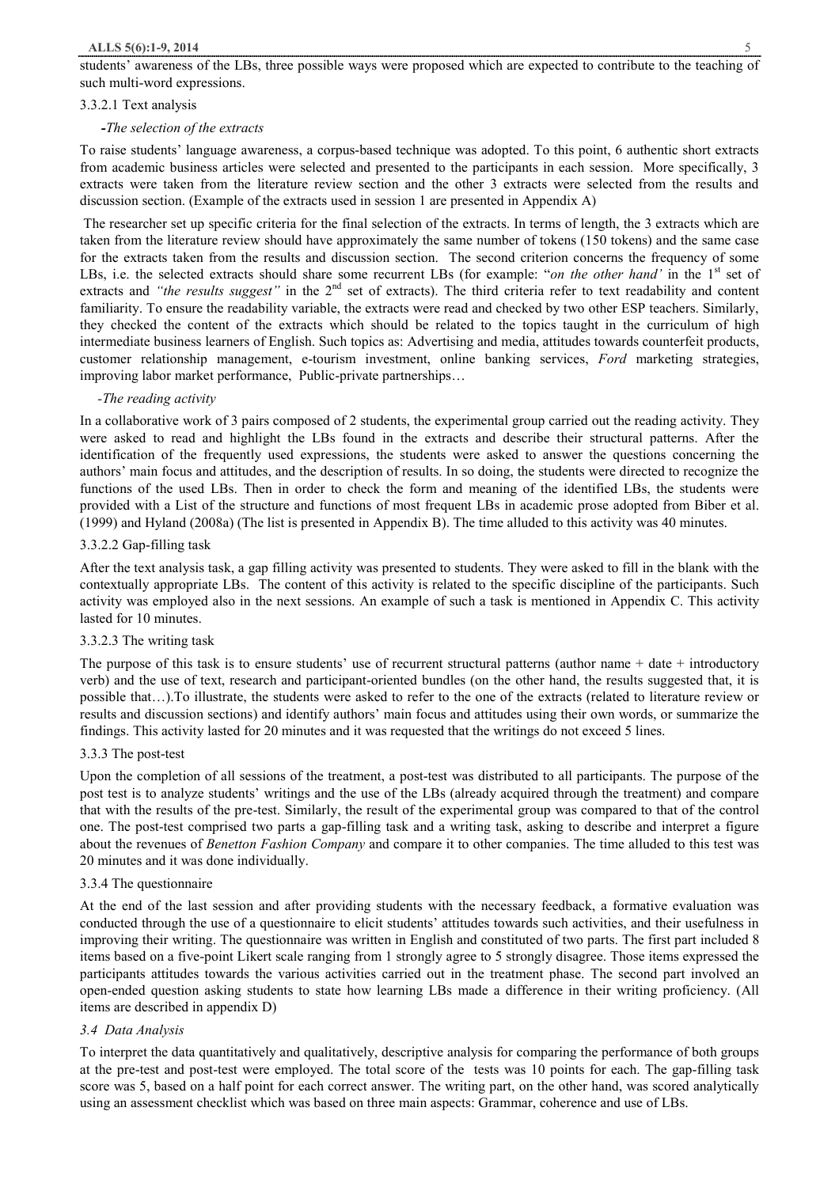students' awareness of the LBs, three possible ways were proposed which are expected to contribute to the teaching of such multi-word expressions.

### 3.3.2.1 Text analysis

## *-The selection of the extracts*

To raise students' language awareness, a corpus-based technique was adopted. To this point, 6 authentic short extracts from academic business articles were selected and presented to the participants in each session. More specifically, 3 extracts were taken from the literature review section and the other 3 extracts were selected from the results and discussion section. (Example of the extracts used in session 1 are presented in Appendix A)

The researcher set up specific criteria for the final selection of the extracts. In terms of length, the 3 extracts which are taken from the literature review should have approximately the same number of tokens (150 tokens) and the same case for the extracts taken from the results and discussion section. The second criterion concerns the frequency of some LBs, i.e. the selected extracts should share some recurrent LBs (for example: "*on the other hand*' in the 1<sup>st</sup> set of extracts and *"the results suggest"* in the 2<sup>nd</sup> set of extracts). The third criteria refer to text readability and content familiarity. To ensure the readability variable, the extracts were read and checked by two other ESP teachers. Similarly, they checked the content of the extracts which should be related to the topics taught in the curriculum of high intermediate business learners of English. Such topics as: Advertising and media, attitudes towards counterfeit products, customer relationship management, e-tourism investment, online banking services, *Ford* marketing strategies, improving labor market performance, Public-private partnerships…

### *-The reading activity*

In a collaborative work of 3 pairs composed of 2 students, the experimental group carried out the reading activity. They were asked to read and highlight the LBs found in the extracts and describe their structural patterns. After the identification of the frequently used expressions, the students were asked to answer the questions concerning the authors' main focus and attitudes, and the description of results. In so doing, the students were directed to recognize the functions of the used LBs. Then in order to check the form and meaning of the identified LBs, the students were provided with a List of the structure and functions of most frequent LBs in academic prose adopted from Biber et al. (1999) and Hyland (2008a) (The list is presented in Appendix B). The time alluded to this activity was 40 minutes.

### 3.3.2.2 Gap-filling task

After the text analysis task, a gap filling activity was presented to students. They were asked to fill in the blank with the contextually appropriate LBs. The content of this activity is related to the specific discipline of the participants. Such activity was employed also in the next sessions. An example of such a task is mentioned in Appendix C. This activity lasted for 10 minutes.

#### 3.3.2.3 The writing task

The purpose of this task is to ensure students' use of recurrent structural patterns (author name  $+$  date  $+$  introductory verb) and the use of text, research and participant-oriented bundles (on the other hand, the results suggested that, it is possible that…).To illustrate, the students were asked to refer to the one of the extracts (related to literature review or results and discussion sections) and identify authors' main focus and attitudes using their own words, or summarize the findings. This activity lasted for 20 minutes and it was requested that the writings do not exceed 5 lines.

#### 3.3.3 The post-test

Upon the completion of all sessions of the treatment, a post-test was distributed to all participants. The purpose of the post test is to analyze students' writings and the use of the LBs (already acquired through the treatment) and compare that with the results of the pre-test. Similarly, the result of the experimental group was compared to that of the control one. The post-test comprised two parts a gap-filling task and a writing task, asking to describe and interpret a figure about the revenues of *Benetton Fashion Company* and compare it to other companies. The time alluded to this test was 20 minutes and it was done individually.

#### 3.3.4 The questionnaire

At the end of the last session and after providing students with the necessary feedback, a formative evaluation was conducted through the use of a questionnaire to elicit students' attitudes towards such activities, and their usefulness in improving their writing. The questionnaire was written in English and constituted of two parts. The first part included 8 items based on a five-point Likert scale ranging from 1 strongly agree to 5 strongly disagree. Those items expressed the participants attitudes towards the various activities carried out in the treatment phase. The second part involved an open-ended question asking students to state how learning LBs made a difference in their writing proficiency. (All items are described in appendix D)

## *3.4 Data Analysis*

To interpret the data quantitatively and qualitatively, descriptive analysis for comparing the performance of both groups at the pre-test and post-test were employed. The total score of the tests was 10 points for each. The gap-filling task score was 5, based on a half point for each correct answer. The writing part, on the other hand, was scored analytically using an assessment checklist which was based on three main aspects: Grammar, coherence and use of LBs.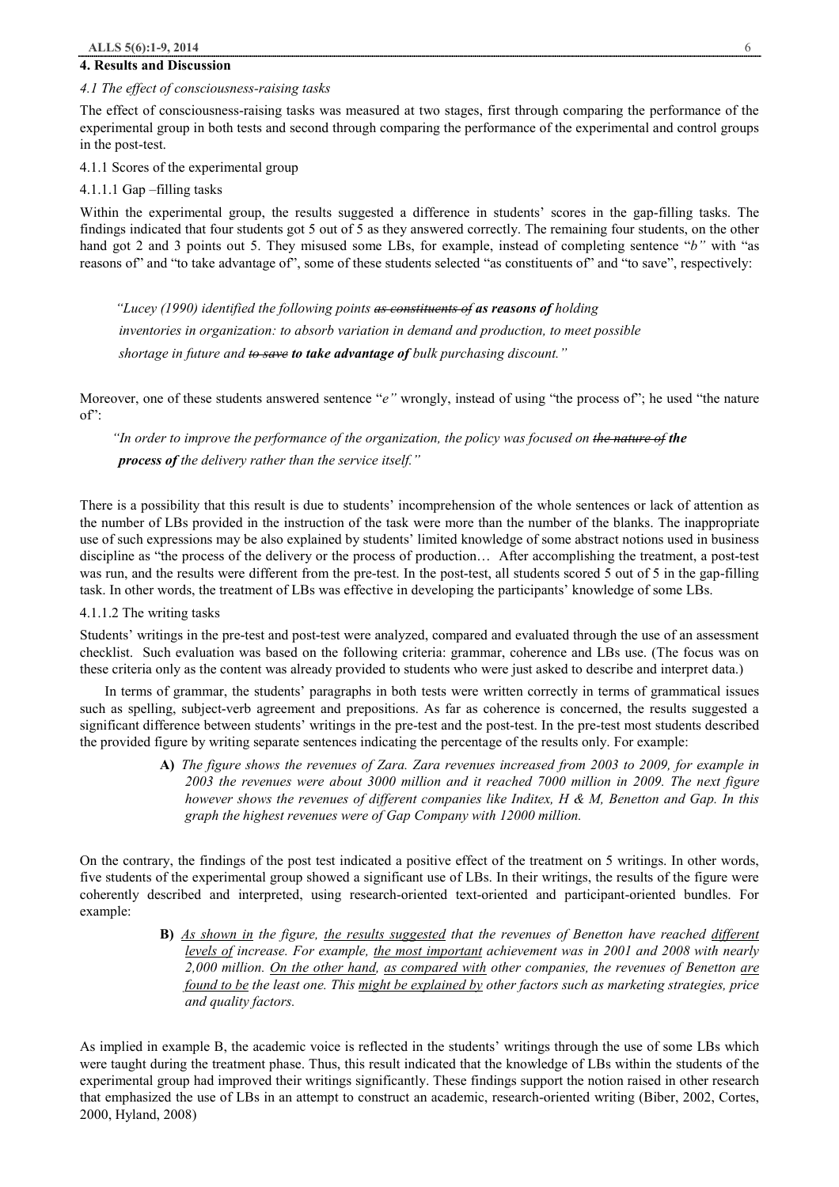## **4. Results and Discussion**

#### *4.1 The effect of consciousness-raising tasks*

The effect of consciousness-raising tasks was measured at two stages, first through comparing the performance of the experimental group in both tests and second through comparing the performance of the experimental and control groups in the post-test.

4.1.1 Scores of the experimental group

4.1.1.1 Gap –filling tasks

Within the experimental group, the results suggested a difference in students' scores in the gap-filling tasks. The findings indicated that four students got 5 out of 5 as they answered correctly. The remaining four students, on the other hand got 2 and 3 points out 5. They misused some LBs, for example, instead of completing sentence "*b"* with "as reasons of" and "to take advantage of", some of these students selected "as constituents of" and "to save", respectively:

 *"Lucey (1990) identified the following points as constituents of as reasons of holding inventories in organization: to absorb variation in demand and production, to meet possible shortage in future and to save to take advantage of bulk purchasing discount."* 

Moreover, one of these students answered sentence "*e"* wrongly, instead of using "the process of"; he used "the nature  $of$ "

 *"In order to improve the performance of the organization, the policy was focused on the nature of the process of the delivery rather than the service itself."* 

There is a possibility that this result is due to students' incomprehension of the whole sentences or lack of attention as the number of LBs provided in the instruction of the task were more than the number of the blanks. The inappropriate use of such expressions may be also explained by students' limited knowledge of some abstract notions used in business discipline as "the process of the delivery or the process of production… After accomplishing the treatment, a post-test was run, and the results were different from the pre-test. In the post-test, all students scored 5 out of 5 in the gap-filling task. In other words, the treatment of LBs was effective in developing the participants' knowledge of some LBs.

4.1.1.2 The writing tasks

Students' writings in the pre-test and post-test were analyzed, compared and evaluated through the use of an assessment checklist. Such evaluation was based on the following criteria: grammar, coherence and LBs use. (The focus was on these criteria only as the content was already provided to students who were just asked to describe and interpret data.)

 In terms of grammar, the students' paragraphs in both tests were written correctly in terms of grammatical issues such as spelling, subject-verb agreement and prepositions. As far as coherence is concerned, the results suggested a significant difference between students' writings in the pre-test and the post-test. In the pre-test most students described the provided figure by writing separate sentences indicating the percentage of the results only. For example:

> A) The figure shows the revenues of Zara. Zara revenues increased from 2003 to 2009, for example in *2003 the revenues were about 3000 million and it reached 7000 million in 2009. The next figure however shows the revenues of different companies like Inditex, H & M, Benetton and Gap. In this graph the highest revenues were of Gap Company with 12000 million.*

On the contrary, the findings of the post test indicated a positive effect of the treatment on 5 writings. In other words, five students of the experimental group showed a significant use of LBs. In their writings, the results of the figure were coherently described and interpreted, using research-oriented text-oriented and participant-oriented bundles. For example:

> **B)** *As shown in the figure, the results suggested that the revenues of Benetton have reached different levels of increase. For example, the most important achievement was in 2001 and 2008 with nearly 2,000 million. On the other hand, as compared with other companies, the revenues of Benetton are found to be the least one. This might be explained by other factors such as marketing strategies, price and quality factors.*

As implied in example B, the academic voice is reflected in the students' writings through the use of some LBs which were taught during the treatment phase. Thus, this result indicated that the knowledge of LBs within the students of the experimental group had improved their writings significantly. These findings support the notion raised in other research that emphasized the use of LBs in an attempt to construct an academic, research-oriented writing (Biber, 2002, Cortes, 2000, Hyland, 2008)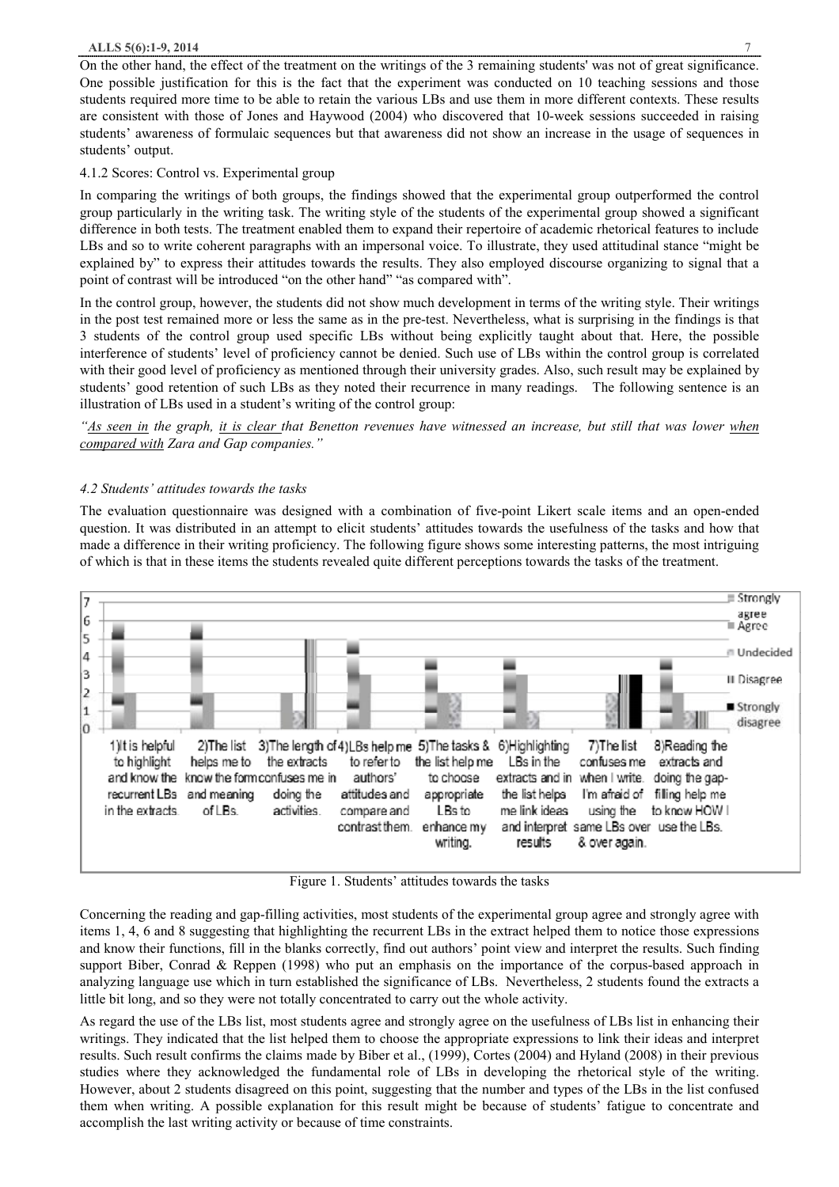On the other hand, the effect of the treatment on the writings of the 3 remaining students' was not of great significance. One possible justification for this is the fact that the experiment was conducted on 10 teaching sessions and those students required more time to be able to retain the various LBs and use them in more different contexts. These results are consistent with those of Jones and Haywood (2004) who discovered that 10-week sessions succeeded in raising students' awareness of formulaic sequences but that awareness did not show an increase in the usage of sequences in students' output.

## 4.1.2 Scores: Control vs. Experimental group

In comparing the writings of both groups, the findings showed that the experimental group outperformed the control group particularly in the writing task. The writing style of the students of the experimental group showed a significant difference in both tests. The treatment enabled them to expand their repertoire of academic rhetorical features to include LBs and so to write coherent paragraphs with an impersonal voice. To illustrate, they used attitudinal stance "might be explained by" to express their attitudes towards the results. They also employed discourse organizing to signal that a point of contrast will be introduced "on the other hand" "as compared with".

In the control group, however, the students did not show much development in terms of the writing style. Their writings in the post test remained more or less the same as in the pre-test. Nevertheless, what is surprising in the findings is that 3 students of the control group used specific LBs without being explicitly taught about that. Here, the possible interference of students' level of proficiency cannot be denied. Such use of LBs within the control group is correlated with their good level of proficiency as mentioned through their university grades. Also, such result may be explained by students' good retention of such LBs as they noted their recurrence in many readings. The following sentence is an illustration of LBs used in a student's writing of the control group:

"As seen in the graph, it is clear that Benetton revenues have witnessed an increase, but still that was lower when *compared with Zara and Gap companies."* 

## *4.2 Students' attitudes towards the tasks*

The evaluation questionnaire was designed with a combination of five-point Likert scale items and an open-ended question. It was distributed in an attempt to elicit students' attitudes towards the usefulness of the tasks and how that made a difference in their writing proficiency. The following figure shows some interesting patterns, the most intriguing of which is that in these items the students revealed quite different perceptions towards the tasks of the treatment.



Figure 1. Students' attitudes towards the tasks

Concerning the reading and gap-filling activities, most students of the experimental group agree and strongly agree with items 1, 4, 6 and 8 suggesting that highlighting the recurrent LBs in the extract helped them to notice those expressions and know their functions, fill in the blanks correctly, find out authors' point view and interpret the results. Such finding support Biber, Conrad & Reppen (1998) who put an emphasis on the importance of the corpus-based approach in analyzing language use which in turn established the significance of LBs. Nevertheless, 2 students found the extracts a little bit long, and so they were not totally concentrated to carry out the whole activity.

As regard the use of the LBs list, most students agree and strongly agree on the usefulness of LBs list in enhancing their writings. They indicated that the list helped them to choose the appropriate expressions to link their ideas and interpret results. Such result confirms the claims made by Biber et al., (1999), Cortes (2004) and Hyland (2008) in their previous studies where they acknowledged the fundamental role of LBs in developing the rhetorical style of the writing. However, about 2 students disagreed on this point, suggesting that the number and types of the LBs in the list confused them when writing. A possible explanation for this result might be because of students' fatigue to concentrate and accomplish the last writing activity or because of time constraints.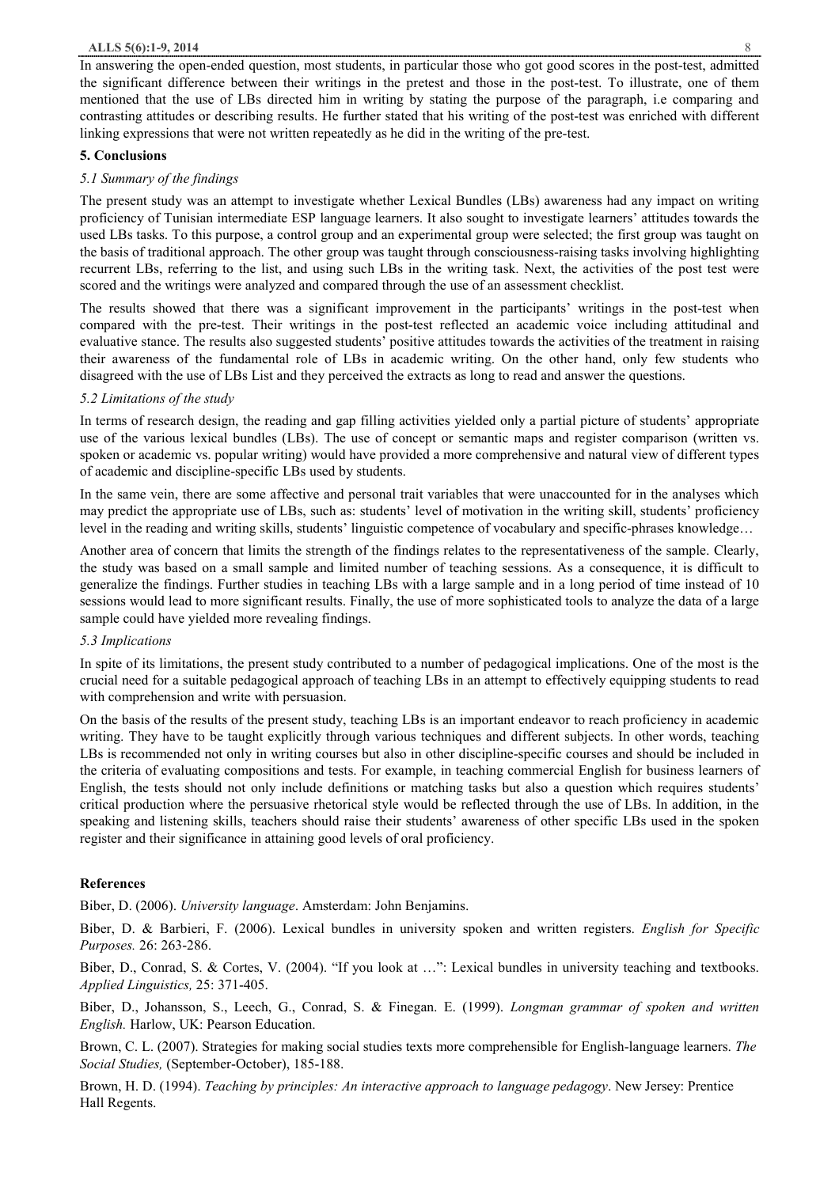In answering the open-ended question, most students, in particular those who got good scores in the post-test, admitted the significant difference between their writings in the pretest and those in the post-test. To illustrate, one of them mentioned that the use of LBs directed him in writing by stating the purpose of the paragraph, i.e comparing and contrasting attitudes or describing results. He further stated that his writing of the post-test was enriched with different linking expressions that were not written repeatedly as he did in the writing of the pre-test.

#### **5. Conclusions**

#### *5.1 Summary of the findings*

The present study was an attempt to investigate whether Lexical Bundles (LBs) awareness had any impact on writing proficiency of Tunisian intermediate ESP language learners. It also sought to investigate learners' attitudes towards the used LBs tasks. To this purpose, a control group and an experimental group were selected; the first group was taught on the basis of traditional approach. The other group was taught through consciousness-raising tasks involving highlighting recurrent LBs, referring to the list, and using such LBs in the writing task. Next, the activities of the post test were scored and the writings were analyzed and compared through the use of an assessment checklist.

The results showed that there was a significant improvement in the participants' writings in the post-test when compared with the pre-test. Their writings in the post-test reflected an academic voice including attitudinal and evaluative stance. The results also suggested students' positive attitudes towards the activities of the treatment in raising their awareness of the fundamental role of LBs in academic writing. On the other hand, only few students who disagreed with the use of LBs List and they perceived the extracts as long to read and answer the questions.

### *5.2 Limitations of the study*

In terms of research design, the reading and gap filling activities yielded only a partial picture of students' appropriate use of the various lexical bundles (LBs). The use of concept or semantic maps and register comparison (written vs. spoken or academic vs. popular writing) would have provided a more comprehensive and natural view of different types of academic and discipline-specific LBs used by students.

In the same vein, there are some affective and personal trait variables that were unaccounted for in the analyses which may predict the appropriate use of LBs, such as: students' level of motivation in the writing skill, students' proficiency level in the reading and writing skills, students' linguistic competence of vocabulary and specific-phrases knowledge…

Another area of concern that limits the strength of the findings relates to the representativeness of the sample. Clearly, the study was based on a small sample and limited number of teaching sessions. As a consequence, it is difficult to generalize the findings. Further studies in teaching LBs with a large sample and in a long period of time instead of 10 sessions would lead to more significant results. Finally, the use of more sophisticated tools to analyze the data of a large sample could have yielded more revealing findings.

# *5.3 Implications*

In spite of its limitations, the present study contributed to a number of pedagogical implications. One of the most is the crucial need for a suitable pedagogical approach of teaching LBs in an attempt to effectively equipping students to read with comprehension and write with persuasion.

On the basis of the results of the present study, teaching LBs is an important endeavor to reach proficiency in academic writing. They have to be taught explicitly through various techniques and different subjects. In other words, teaching LBs is recommended not only in writing courses but also in other discipline-specific courses and should be included in the criteria of evaluating compositions and tests. For example, in teaching commercial English for business learners of English, the tests should not only include definitions or matching tasks but also a question which requires students' critical production where the persuasive rhetorical style would be reflected through the use of LBs. In addition, in the speaking and listening skills, teachers should raise their students' awareness of other specific LBs used in the spoken register and their significance in attaining good levels of oral proficiency.

#### **References**

Biber, D. (2006). *University language*. Amsterdam: John Benjamins.

Biber, D. & Barbieri, F. (2006). Lexical bundles in university spoken and written registers. *English for Specific Purposes.* 26: 263-286.

Biber, D., Conrad, S. & Cortes, V. (2004). "If you look at …": Lexical bundles in university teaching and textbooks. *Applied Linguistics,* 25: 371-405.

Biber, D., Johansson, S., Leech, G., Conrad, S. & Finegan. E. (1999). *Longman grammar of spoken and written English.* Harlow, UK: Pearson Education.

Brown, C. L. (2007). Strategies for making social studies texts more comprehensible for English-language learners. *The Social Studies,* (September-October), 185-188.

Brown, H. D. (1994). *Teaching by principles: An interactive approach to language pedagogy*. New Jersey: Prentice Hall Regents.